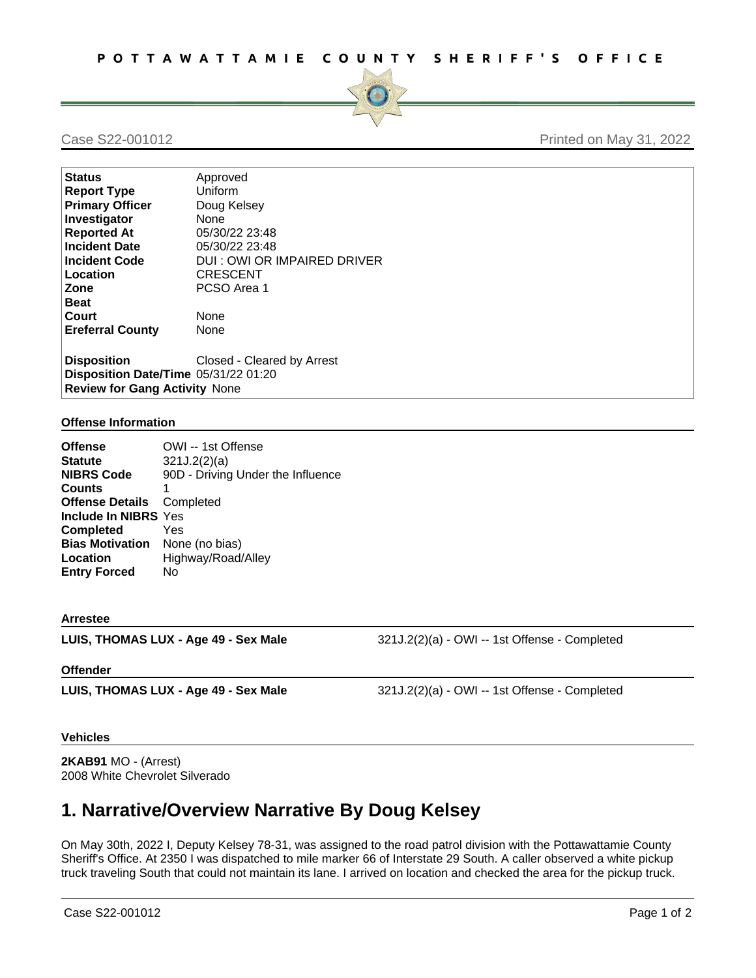

## Case S22-001012 **Printed on May 31, 2022**

| <b>Status</b>                        | Approved                     |  |
|--------------------------------------|------------------------------|--|
| <b>Report Type</b>                   | Uniform                      |  |
| <b>Primary Officer</b>               | Doug Kelsey                  |  |
| Investigator                         | <b>None</b>                  |  |
| <b>Reported At</b>                   | 05/30/22 23:48               |  |
| <b>Incident Date</b>                 | 05/30/22 23:48               |  |
| <b>Incident Code</b>                 | DUI : OWI OR IMPAIRED DRIVER |  |
| Location                             | <b>CRESCENT</b>              |  |
| Zone                                 | PCSO Area 1                  |  |
| Beat                                 |                              |  |
| Court                                | None                         |  |
| <b>Ereferral County</b>              | None                         |  |
| <b>Disposition</b>                   | Closed - Cleared by Arrest   |  |
| Disposition Date/Time 05/31/22 01:20 |                              |  |
| <b>Review for Gang Activity None</b> |                              |  |

### **Offense Information**

| <b>Offense</b>                        | OWI -- 1st Offense                |
|---------------------------------------|-----------------------------------|
| <b>Statute</b>                        | 321J.2(2)(a)                      |
| <b>NIBRS Code</b>                     | 90D - Driving Under the Influence |
| <b>Counts</b>                         | 1                                 |
| <b>Offense Details</b> Completed      |                                   |
| Include In NIBRS Yes                  |                                   |
| <b>Completed</b>                      | Yes                               |
| <b>Bias Motivation</b> None (no bias) |                                   |
| Location                              | Highway/Road/Alley                |
| <b>Entry Forced</b>                   | No                                |

#### **Arrestee**

**LUIS, THOMAS LUX - Age 49 - Sex Male** 321J.2(2)(a) - OWI -- 1st Offense - Completed

### **Offender**

**LUIS, THOMAS LUX - Age 49 - Sex Male** 321J.2(2)(a) - OWI -- 1st Offense - Completed

### **Vehicles**

**2KAB91** MO - (Arrest) 2008 White Chevrolet Silverado

# **1. Narrative/Overview Narrative By Doug Kelsey**

On May 30th, 2022 I, Deputy Kelsey 78-31, was assigned to the road patrol division with the Pottawattamie County Sheriff's Office. At 2350 I was dispatched to mile marker 66 of Interstate 29 South. A caller observed a white pickup truck traveling South that could not maintain its lane. I arrived on location and checked the area for the pickup truck.